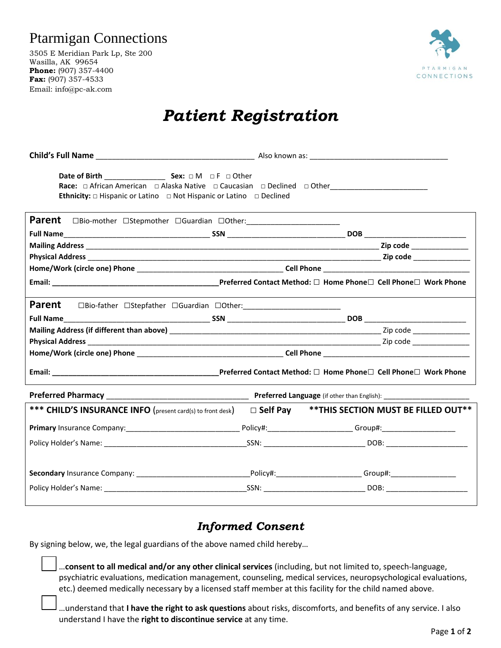## Ptarmigan Connections

3505 E Meridian Park Lp, Ste 200 Wasilla, AK 99654 **Phone:** (907) 357-4400 **Fax:** (907) 357-4533 Email: info@pc-ak.com



## *Patient Registration*

**Child's Full Name** \_\_\_\_\_\_\_\_\_\_\_\_\_\_\_\_\_\_\_\_\_\_\_\_\_\_\_\_\_\_\_\_\_\_\_\_\_\_\_ Also known as: \_\_\_\_\_\_\_\_\_\_\_\_\_\_\_\_\_\_\_\_\_\_\_\_\_\_\_\_\_\_\_\_\_\_ **Date of Birth** \_\_\_\_\_\_\_\_\_\_\_\_\_\_\_ **Sex:** □ M □ F □ Other **Race:** □ African American □ Alaska Native □ Caucasian □ Declined □ Other **Ethnicity:** □ Hispanic or Latino □ Not Hispanic or Latino □ Declined **Parent** □Bio-mother □Stepmother □Guardian □Other: **Full Name**\_\_\_\_\_\_\_\_\_\_\_\_\_\_\_\_\_\_\_\_\_\_\_\_\_\_\_\_\_\_\_\_\_\_\_\_ **SSN** \_\_\_\_\_\_\_\_\_\_\_\_\_\_\_\_\_\_\_\_\_\_\_\_\_\_\_\_\_ **DOB** \_\_\_\_\_\_\_\_\_\_\_\_\_\_\_\_\_\_\_\_\_\_\_\_\_ **Mailing Address** \_\_\_\_\_\_\_\_\_\_\_\_\_\_\_\_\_\_\_\_\_\_\_\_\_\_\_\_\_\_\_\_\_\_\_\_\_\_\_\_\_\_\_\_\_\_\_\_\_\_\_\_\_\_\_\_\_\_\_\_\_\_\_\_\_\_\_\_\_\_\_\_ **Zip code** \_\_\_\_\_\_\_\_\_\_\_\_\_\_ **Physical Address** \_\_\_\_\_\_\_\_\_\_\_\_\_\_\_\_\_\_\_\_\_\_\_\_\_\_\_\_\_\_\_\_\_\_\_\_\_\_\_\_\_\_\_\_\_\_\_\_\_\_\_\_\_\_\_\_\_\_\_\_\_\_\_\_\_\_\_\_\_\_\_\_ **Zip code** \_\_\_\_\_\_\_\_\_\_\_\_\_\_ **Home/Work (circle one) Phone** \_\_\_\_\_\_\_\_\_\_\_\_\_\_\_\_\_\_\_\_\_\_\_\_\_\_\_\_\_\_\_\_\_\_\_\_ **Cell Phone** \_\_\_\_\_\_\_\_\_\_\_\_\_\_\_\_\_\_\_\_\_\_\_\_\_\_\_\_\_\_\_\_\_\_\_\_ **Email: \_\_\_\_\_\_\_\_\_\_\_\_\_\_\_\_\_\_\_\_\_\_\_\_\_\_\_\_\_\_\_\_\_\_\_\_\_\_\_\_\_Preferred Contact Method:** □ **Home Phone**□ **Cell Phone**□ **Work Phone Parent** □Bio-father □Stepfather □Guardian □Other: **Full Name**\_\_\_\_\_\_\_\_\_\_\_\_\_\_\_\_\_\_\_\_\_\_\_\_\_\_\_\_\_\_\_\_\_\_\_\_ **SSN** \_\_\_\_\_\_\_\_\_\_\_\_\_\_\_\_\_\_\_\_\_\_\_\_\_\_\_\_\_ **DOB** \_\_\_\_\_\_\_\_\_\_\_\_\_\_\_\_\_\_\_\_\_\_\_\_\_ **Mailing Address (if different than above) Lateration and all examples are all examples and all examples are all examples and all examples are all examples and**  $\alpha$  **zip code**  $\alpha$ **Physical Address** \_\_\_\_\_\_\_\_\_\_\_\_\_\_\_\_\_\_\_\_\_\_\_\_\_\_\_\_\_\_\_\_\_\_\_\_\_\_\_\_\_\_\_\_\_\_\_\_\_\_\_\_\_\_\_\_\_\_\_\_\_\_\_\_\_\_\_\_\_\_\_\_ Zip code \_\_\_\_\_\_\_\_\_\_\_\_\_\_ **Home/Work (circle one) Phone** \_\_\_\_\_\_\_\_\_\_\_\_\_\_\_\_\_\_\_\_\_\_\_\_\_\_\_\_\_\_\_\_\_\_\_\_ **Cell Phone** \_\_\_\_\_\_\_\_\_\_\_\_\_\_\_\_\_\_\_\_\_\_\_\_\_\_\_\_\_\_\_\_\_\_\_\_ **Email: \_\_\_\_\_\_\_\_\_\_\_\_\_\_\_\_\_\_\_\_\_\_\_\_\_\_\_\_\_\_\_\_\_\_\_\_\_\_\_\_\_Preferred Contact Method:** □ **Home Phone**□ **Cell Phone**□ **Work Phone Preferred Pharmacy** \_\_\_\_\_\_\_\_\_\_\_\_\_\_\_\_\_\_\_\_\_\_\_\_\_\_\_\_\_\_\_\_\_\_\_ **Preferred Language** (if other than English): \_\_\_\_\_\_\_\_\_\_\_\_\_\_\_\_\_\_\_\_\_ **\*\*\* CHILD'S INSURANCE INFO** (present card(s) to front desk)□ **Self Pay \*\*THIS SECTION MUST BE FILLED OUT\*\* Primary** Insurance Company:\_\_\_\_\_\_\_\_\_\_\_\_\_\_\_\_\_\_\_\_\_\_\_\_\_\_\_\_ Policy#:\_\_\_\_\_\_\_\_\_\_\_\_\_\_\_\_\_\_\_\_\_ Group#:\_\_\_\_\_\_\_\_\_\_\_\_\_\_\_\_\_\_ Policy Holder's Name: etc. and the state of the state of the SSN: Equation of the SSN: Equation of the SSN: Equation of the SSN: Equation of the SSN: Equation of the SSN: Equation of the SSN: Equation of the SSN: Equation **Secondary** Insurance Company: \_\_\_\_\_\_\_\_\_\_\_\_\_\_\_\_\_\_\_\_\_\_\_\_\_\_\_\_Policy#:\_\_\_\_\_\_\_\_\_\_\_\_\_\_\_\_\_\_\_\_\_ Group#:\_\_\_\_\_\_\_\_\_\_\_\_\_\_\_\_ Policy Holder's Name: \_\_\_\_\_\_\_\_\_\_\_\_\_\_\_\_\_\_\_\_\_\_\_\_\_\_\_\_\_\_\_\_\_\_\_SSN: \_\_\_\_\_\_\_\_\_\_\_\_\_\_\_\_\_\_\_\_\_\_\_\_\_ DOB: \_\_\_\_\_\_\_\_\_\_\_\_\_\_\_\_\_\_\_\_

## *Informed Consent*

By signing below, we, the legal guardians of the above named child hereby…

 …**consent to all medical and/or any other clinical services** (including, but not limited to, speech-language, psychiatric evaluations, medication management, counseling, medical services, neuropsychological evaluations, etc.) deemed medically necessary by a licensed staff member at this facility for the child named above.

 …understand that **I have the right to ask questions** about risks, discomforts, and benefits of any service. I also understand I have the **right to discontinue service** at any time.